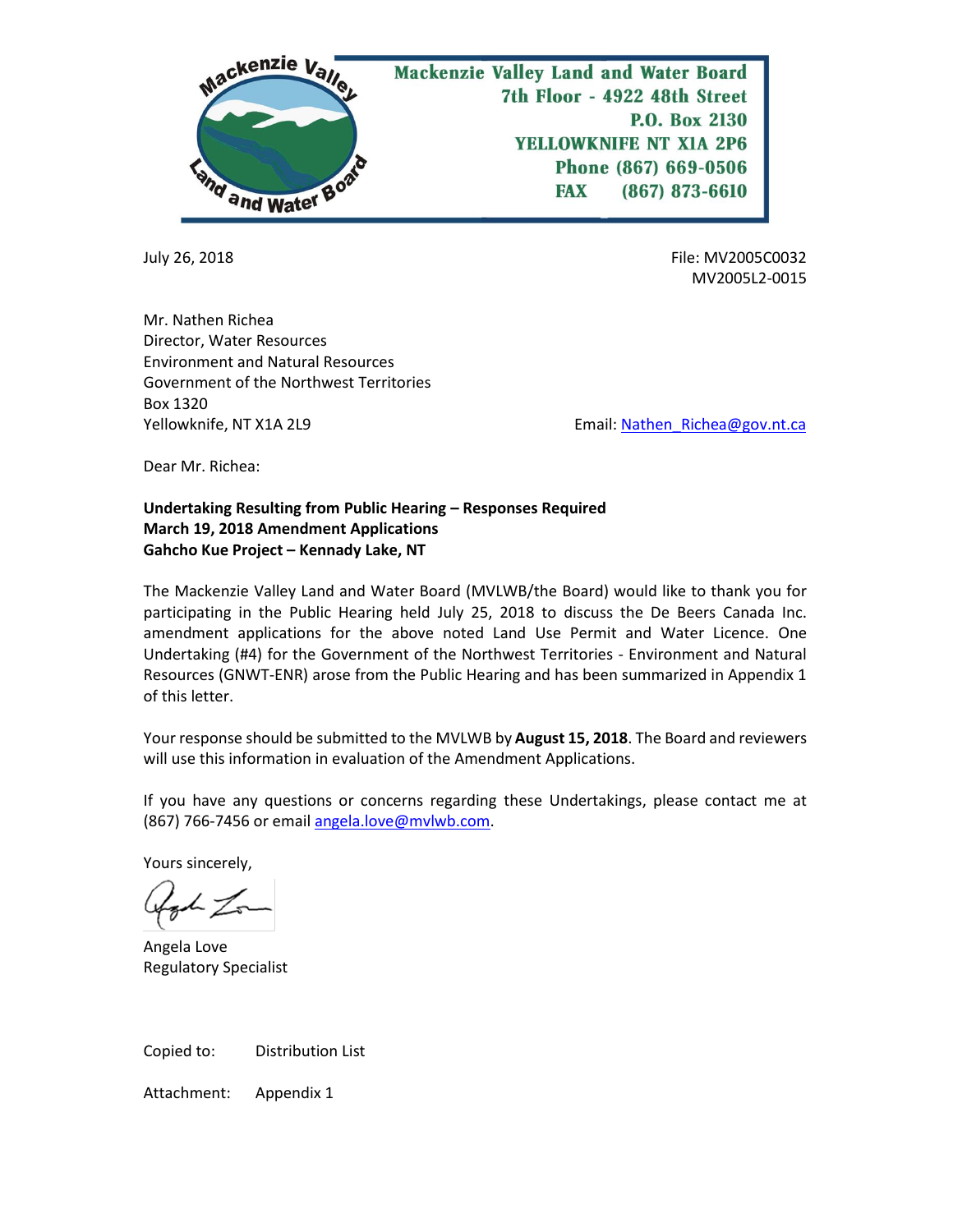

July 26, 2018 File: MV2005C0032 MV2005L2-0015

Mr. Nathen Richea Director, Water Resources Environment and Natural Resources Government of the Northwest Territories Box 1320 Yellowknife, NT X1A 2L9 **Email:** Nathen\_Richea@gov.nt.ca

Dear Mr. Richea:

## **Undertaking Resulting from Public Hearing – Responses Required March 19, 2018 Amendment Applications Gahcho Kue Project – Kennady Lake, NT**

The Mackenzie Valley Land and Water Board (MVLWB/the Board) would like to thank you for participating in the Public Hearing held July 25, 2018 to discuss the De Beers Canada Inc. amendment applications for the above noted Land Use Permit and Water Licence. One Undertaking (#4) for the Government of the Northwest Territories - Environment and Natural Resources (GNWT-ENR) arose from the Public Hearing and has been summarized in Appendix 1 of this letter.

Your response should be submitted to the MVLWB by **August 15, 2018**. The Board and reviewers will use this information in evaluation of the Amendment Applications.

If you have any questions or concerns regarding these Undertakings, please contact me at (867) 766-7456 or email [angela.love@mvlwb.com.](mailto:angela.love@mvlwb.com)

Yours sincerely,

Angela Love Regulatory Specialist

Copied to: Distribution List

Attachment: Appendix 1